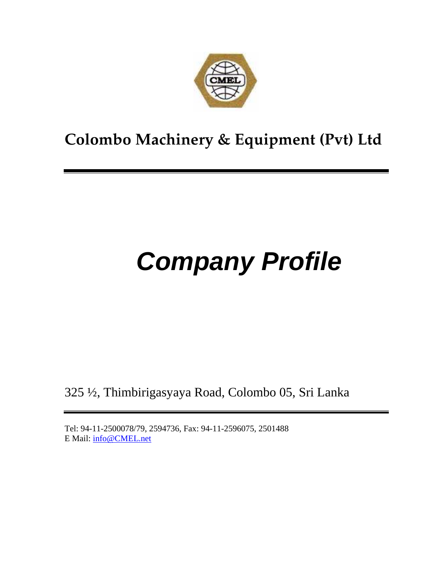

# **Colombo Machinery & Equipment (Pvt) Ltd**

# **Company Profile**

325 ½, Thimbirigasyaya Road, Colombo 05, Sri Lanka

Tel: 94-11-2500078/79, 2594736, Fax: 94-11-2596075, 2501488 E Mail: info@CMEL.net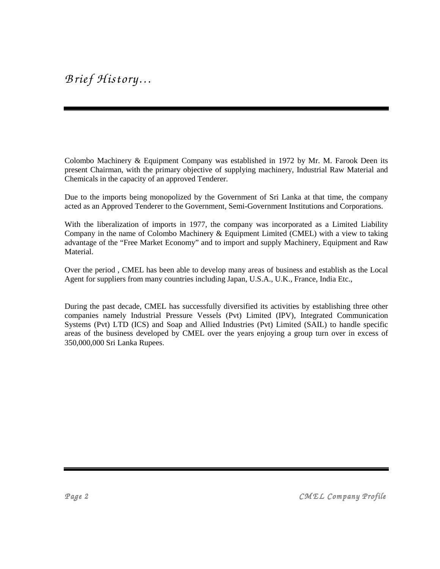Colombo Machinery & Equipment Company was established in 1972 by Mr. M. Farook Deen its present Chairman, with the primary objective of supplying machinery, Industrial Raw Material and Chemicals in the capacity of an approved Tenderer.

Due to the imports being monopolized by the Government of Sri Lanka at that time, the company acted as an Approved Tenderer to the Government, Semi-Government Institutions and Corporations.

With the liberalization of imports in 1977, the company was incorporated as a Limited Liability Company in the name of Colombo Machinery & Equipment Limited (CMEL) with a view to taking advantage of the "Free Market Economy" and to import and supply Machinery, Equipment and Raw Material.

Over the period , CMEL has been able to develop many areas of business and establish as the Local Agent for suppliers from many countries including Japan, U.S.A., U.K., France, India Etc.,

During the past decade, CMEL has successfully diversified its activities by establishing three other companies namely Industrial Pressure Vessels (Pvt) Limited (IPV), Integrated Communication Systems (Pvt) LTD (ICS) and Soap and Allied Industries (Pvt) Limited (SAIL) to handle specific areas of the business developed by CMEL over the years enjoying a group turn over in excess of 350,000,000 Sri Lanka Rupees.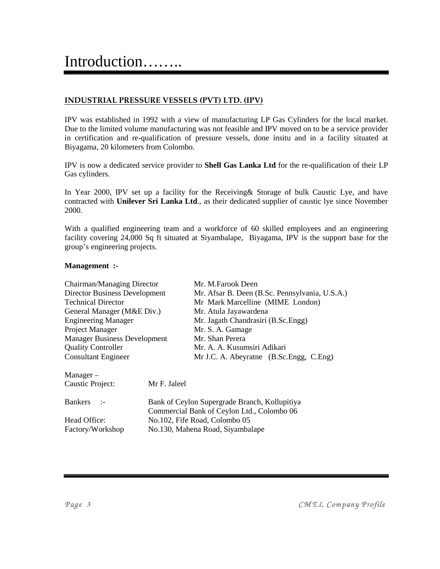#### **INDUSTRIAL PRESSURE VESSELS (PVT) LTD. (IPV)**

IPV was established in 1992 with a view of manufacturing LP Gas Cylinders for the local market. Due to the limited volume manufacturing was not feasible and IPV moved on to be a service provider in certification and re-qualification of pressure vessels, done insitu and in a facility situated at Biyagama, 20 kilometers from Colombo.

IPV is now a dedicated service provider to **Shell Gas Lanka Ltd** for the re-qualification of their LP Gas cylinders.

In Year 2000, IPV set up a facility for the Receiving& Storage of bulk Caustic Lye, and have contracted with **Unilever Sri Lanka Ltd**., as their dedicated supplier of caustic lye since November 2000.

With a qualified engineering team and a workforce of 60 skilled employees and an engineering facility covering 24,000 Sq ft situated at Siyambalape, Biyagama, IPV is the support base for the group's engineering projects.

#### **Management :-**

| Chairman/Managing Director           | Mr. M.Farook Deen                                                                           |
|--------------------------------------|---------------------------------------------------------------------------------------------|
| <b>Director Business Development</b> | Mr. Afsar B. Deen (B.Sc. Pennsylvania, U.S.A.)                                              |
| <b>Technical Director</b>            | Mr Mark Marcelline (MIME London)                                                            |
| General Manager (M&E Div.)           | Mr. Atula Jayawardena                                                                       |
| <b>Engineering Manager</b>           | Mr. Jagath Chandrasiri (B.Sc.Engg)                                                          |
| Project Manager                      | Mr. S. A. Gamage                                                                            |
| <b>Manager Business Development</b>  | Mr. Shan Perera                                                                             |
| <b>Quality Controller</b>            | Mr. A. A. Kusumsiri Adikari                                                                 |
| <b>Consultant Engineer</b>           | Mr J.C. A. Abeyratne (B.Sc.Engg, C.Eng)                                                     |
| $Manager -$                          |                                                                                             |
| Caustic Project:                     | Mr F. Jaleel                                                                                |
| <b>Bankers</b><br>$\sim$ 1-          | Bank of Ceylon Supergrade Branch, Kollupitiya<br>Commercial Bank of Ceylon Ltd., Colombo 06 |
| Head Office:                         | No.102, Fife Road, Colombo 05                                                               |
| Factory/Workshop                     | No.130, Mahena Road, Siyambalape                                                            |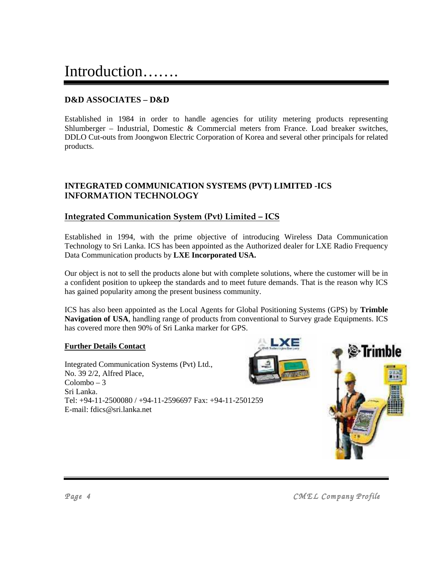# Introduction…….

### **D&D ASSOCIATES – D&D**

Established in 1984 in order to handle agencies for utility metering products representing Shlumberger – Industrial, Domestic & Commercial meters from France. Load breaker switches, DDLO Cut-outs from Joongwon Electric Corporation of Korea and several other principals for related products.

### **INTEGRATED COMMUNICATION SYSTEMS (PVT) LIMITED -ICS INFORMATION TECHNOLOGY**

### **Integrated Communication System (Pvt) Limited – ICS**

Established in 1994, with the prime objective of introducing Wireless Data Communication Technology to Sri Lanka. ICS has been appointed as the Authorized dealer for LXE Radio Frequency Data Communication products by **LXE Incorporated USA.**

Our object is not to sell the products alone but with complete solutions, where the customer will be in a confident position to upkeep the standards and to meet future demands. That is the reason why ICS has gained popularity among the present business community.

ICS has also been appointed as the Local Agents for Global Positioning Systems (GPS) by **Trimble Navigation of USA**, handling range of products from conventional to Survey grade Equipments. ICS has covered more then 90% of Sri Lanka marker for GPS.

#### **Further Details Contact**

Integrated Communication Systems (Pvt) Ltd., No. 39 2/2, Alfred Place, Colombo – 3 Sri Lanka. Tel: +94-11-2500080 / +94-11-2596697 Fax: +94-11-2501259 E-mail: fdics@sri.lanka.net

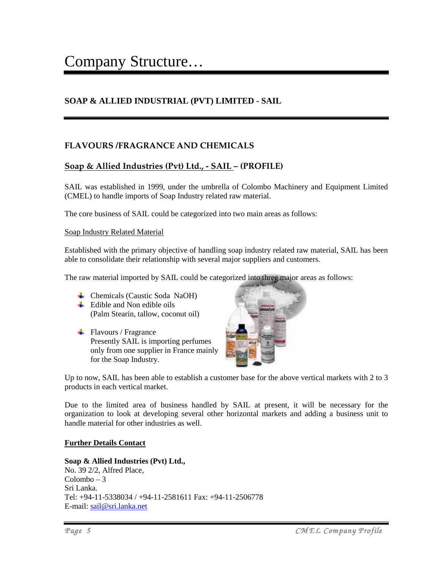### **SOAP & ALLIED INDUSTRIAL (PVT) LIMITED - SAIL**

### **FLAVOURS /FRAGRANCE AND CHEMICALS**

### **Soap & Allied Industries (Pvt) Ltd., - SAIL – (PROFILE)**

SAIL was established in 1999, under the umbrella of Colombo Machinery and Equipment Limited (CMEL) to handle imports of Soap Industry related raw material.

The core business of SAIL could be categorized into two main areas as follows:

#### Soap Industry Related Material

Established with the primary objective of handling soap industry related raw material, SAIL has been able to consolidate their relationship with several major suppliers and customers.

The raw material imported by SAIL could be categorized into three major areas as follows:

- Chemicals (Caustic Soda NaOH)
- $\overline{\phantom{a}}$  Edible and Non edible oils (Palm Stearin, tallow, coconut oil)
- $\blacksquare$  Flavours / Fragrance Presently SAIL is importing perfumes only from one supplier in France mainly for the Soap Industry.



Up to now, SAIL has been able to establish a customer base for the above vertical markets with 2 to 3 products in each vertical market.

Due to the limited area of business handled by SAIL at present, it will be necessary for the organization to look at developing several other horizontal markets and adding a business unit to handle material for other industries as well.

#### **Further Details Contact**

#### **Soap & Allied Industries (Pvt) Ltd.,**  No. 39 2/2, Alfred Place, Colombo – 3 Sri Lanka. Tel: +94-11-5338034 / +94-11-2581611 Fax: +94-11-2506778 E-mail: sail@sri.lanka.net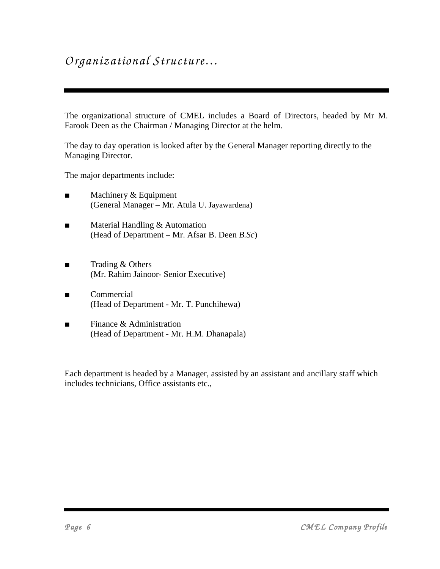### *O rganizational Structure…*

The organizational structure of CMEL includes a Board of Directors, headed by Mr M. Farook Deen as the Chairman / Managing Director at the helm.

The day to day operation is looked after by the General Manager reporting directly to the Managing Director.

The major departments include:

- Machinery & Equipment (General Manager – Mr. Atula U. Jayawardena)
- Material Handling & Automation (Head of Department – Mr. Afsar B. Deen *B.Sc*)
- Trading & Others (Mr. Rahim Jainoor- Senior Executive)
- **Commercial** (Head of Department - Mr. T. Punchihewa)
- Finance & Administration (Head of Department - Mr. H.M. Dhanapala)

Each department is headed by a Manager, assisted by an assistant and ancillary staff which includes technicians, Office assistants etc.,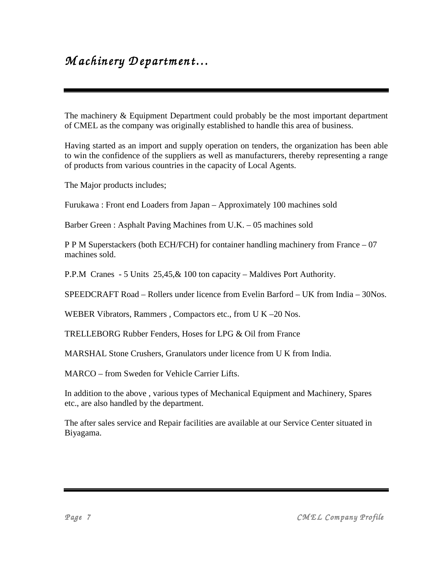### $M$  achinery Department...

The machinery & Equipment Department could probably be the most important department of CMEL as the company was originally established to handle this area of business.

Having started as an import and supply operation on tenders, the organization has been able to win the confidence of the suppliers as well as manufacturers, thereby representing a range of products from various countries in the capacity of Local Agents.

The Major products includes;

Furukawa : Front end Loaders from Japan – Approximately 100 machines sold

Barber Green : Asphalt Paving Machines from U.K. – 05 machines sold

P P M Superstackers (both ECH/FCH) for container handling machinery from France – 07 machines sold.

P.P.M Cranes - 5 Units 25,45,& 100 ton capacity – Maldives Port Authority.

SPEEDCRAFT Road – Rollers under licence from Evelin Barford – UK from India – 30Nos.

WEBER Vibrators, Rammers, Compactors etc., from U K –20 Nos.

TRELLEBORG Rubber Fenders, Hoses for LPG & Oil from France

MARSHAL Stone Crushers, Granulators under licence from U K from India.

MARCO – from Sweden for Vehicle Carrier Lifts.

In addition to the above , various types of Mechanical Equipment and Machinery, Spares etc., are also handled by the department.

The after sales service and Repair facilities are available at our Service Center situated in Biyagama.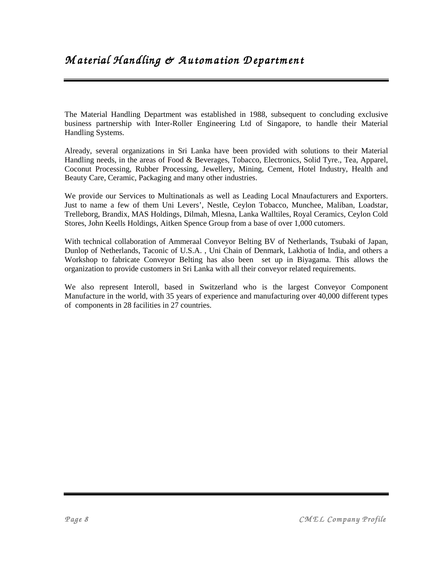The Material Handling Department was established in 1988, subsequent to concluding exclusive business partnership with Inter-Roller Engineering Ltd of Singapore, to handle their Material Handling Systems.

Already, several organizations in Sri Lanka have been provided with solutions to their Material Handling needs, in the areas of Food & Beverages, Tobacco, Electronics, Solid Tyre., Tea, Apparel, Coconut Processing, Rubber Processing, Jewellery, Mining, Cement, Hotel Industry, Health and Beauty Care, Ceramic, Packaging and many other industries.

We provide our Services to Multinationals as well as Leading Local Mnaufacturers and Exporters. Just to name a few of them Uni Levers', Nestle, Ceylon Tobacco, Munchee, Maliban, Loadstar, Trelleborg, Brandix, MAS Holdings, Dilmah, Mlesna, Lanka Walltiles, Royal Ceramics, Ceylon Cold Stores, John Keells Holdings, Aitken Spence Group from a base of over 1,000 cutomers.

With technical collaboration of Ammeraal Conveyor Belting BV of Netherlands, Tsubaki of Japan, Dunlop of Netherlands, Taconic of U.S.A. , Uni Chain of Denmark, Lakhotia of India, and others a Workshop to fabricate Conveyor Belting has also been set up in Biyagama. This allows the organization to provide customers in Sri Lanka with all their conveyor related requirements.

We also represent Interoll, based in Switzerland who is the largest Conveyor Component Manufacture in the world, with 35 years of experience and manufacturing over 40,000 different types of components in 28 facilities in 27 countries.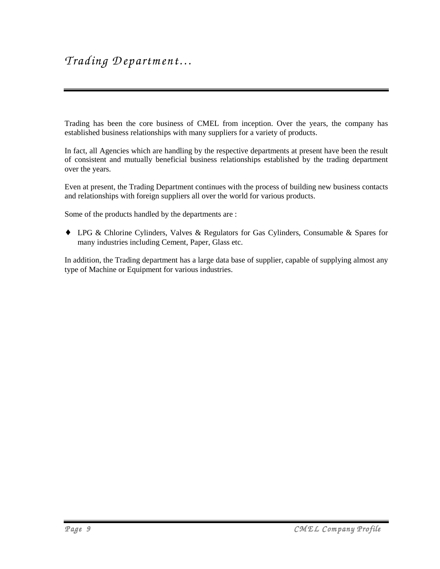Trading has been the core business of CMEL from inception. Over the years, the company has established business relationships with many suppliers for a variety of products.

In fact, all Agencies which are handling by the respective departments at present have been the result of consistent and mutually beneficial business relationships established by the trading department over the years.

Even at present, the Trading Department continues with the process of building new business contacts and relationships with foreign suppliers all over the world for various products.

Some of the products handled by the departments are :

♦ LPG & Chlorine Cylinders, Valves & Regulators for Gas Cylinders, Consumable & Spares for many industries including Cement, Paper, Glass etc.

In addition, the Trading department has a large data base of supplier, capable of supplying almost any type of Machine or Equipment for various industries.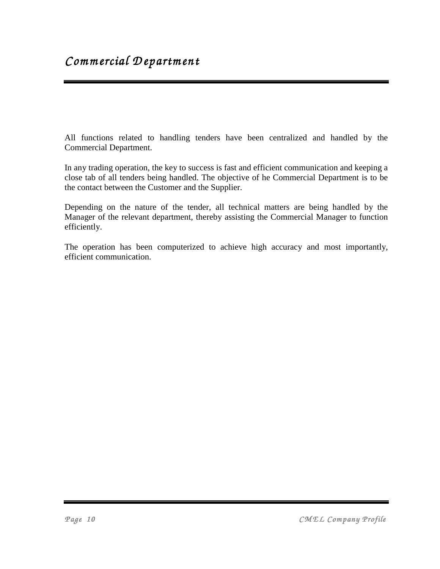All functions related to handling tenders have been centralized and handled by the Commercial Department.

In any trading operation, the key to success is fast and efficient communication and keeping a close tab of all tenders being handled. The objective of he Commercial Department is to be the contact between the Customer and the Supplier.

Depending on the nature of the tender, all technical matters are being handled by the Manager of the relevant department, thereby assisting the Commercial Manager to function efficiently.

The operation has been computerized to achieve high accuracy and most importantly, efficient communication.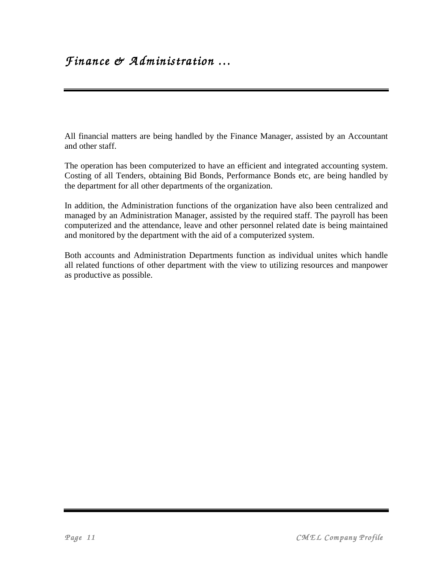All financial matters are being handled by the Finance Manager, assisted by an Accountant and other staff.

The operation has been computerized to have an efficient and integrated accounting system. Costing of all Tenders, obtaining Bid Bonds, Performance Bonds etc, are being handled by the department for all other departments of the organization.

In addition, the Administration functions of the organization have also been centralized and managed by an Administration Manager, assisted by the required staff. The payroll has been computerized and the attendance, leave and other personnel related date is being maintained and monitored by the department with the aid of a computerized system.

Both accounts and Administration Departments function as individual unites which handle all related functions of other department with the view to utilizing resources and manpower as productive as possible.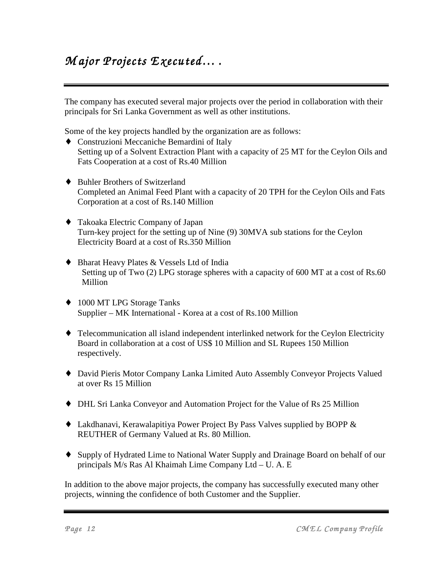# $M$  ajor Projects Executed....

The company has executed several major projects over the period in collaboration with their principals for Sri Lanka Government as well as other institutions.

Some of the key projects handled by the organization are as follows:

- ♦ Construzioni Meccaniche Bemardini of Italy Setting up of a Solvent Extraction Plant with a capacity of 25 MT for the Ceylon Oils and Fats Cooperation at a cost of Rs.40 Million
- ♦ Buhler Brothers of Switzerland Completed an Animal Feed Plant with a capacity of 20 TPH for the Ceylon Oils and Fats Corporation at a cost of Rs.140 Million
- ♦ Takoaka Electric Company of Japan Turn-key project for the setting up of Nine (9) 30MVA sub stations for the Ceylon Electricity Board at a cost of Rs.350 Million
- ♦ Bharat Heavy Plates & Vessels Ltd of India Setting up of Two (2) LPG storage spheres with a capacity of 600 MT at a cost of Rs.60 Million
- ♦ 1000 MT LPG Storage Tanks Supplier – MK International - Korea at a cost of Rs.100 Million
- ♦ Telecommunication all island independent interlinked network for the Ceylon Electricity Board in collaboration at a cost of US\$ 10 Million and SL Rupees 150 Million respectively.
- ♦ David Pieris Motor Company Lanka Limited Auto Assembly Conveyor Projects Valued at over Rs 15 Million
- ♦ DHL Sri Lanka Conveyor and Automation Project for the Value of Rs 25 Million
- ♦ Lakdhanavi, Kerawalapitiya Power Project By Pass Valves supplied by BOPP & REUTHER of Germany Valued at Rs. 80 Million.
- ♦ Supply of Hydrated Lime to National Water Supply and Drainage Board on behalf of our principals M/s Ras Al Khaimah Lime Company Ltd – U. A. E

In addition to the above major projects, the company has successfully executed many other projects, winning the confidence of both Customer and the Supplier.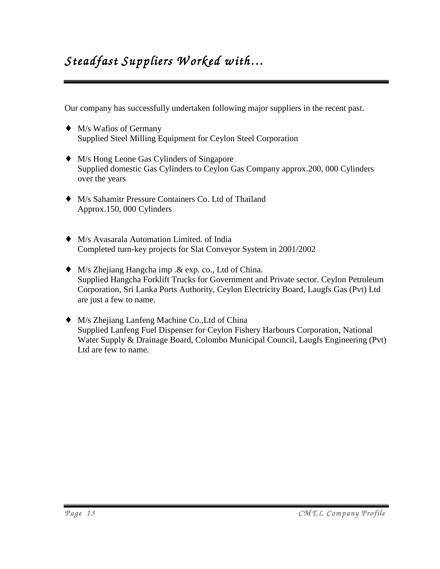# $Steadfast$  Suppliers Worked with...

Our company has successfully undertaken following major suppliers in the recent past.

- $\blacklozenge$  M/s Wafios of Germany Supplied Steel Milling Equipment for Ceylon Steel Corporation
- ♦ M/s Hong Leone Gas Cylinders of Singapore Supplied domestic Gas Cylinders to Ceylon Gas Company approx.200, 000 Cylinders over the years
- ♦ M/s Sahamitr Pressure Containers Co. Ltd of Thailand Approx.150, 000 Cylinders
- ♦ M/s Avasarala Automation Limited. of India Completed turn-key projects for Slat Conveyor System in 2001/2002
- ♦ M/s Zhejiang Hangcha imp .& exp. co., Ltd of China. Supplied Hangcha Forklift Trucks for Government and Private sector. Ceylon Petroleum Corporation, Sri Lanka Ports Authority, Ceylon Electricity Board, Laugfs Gas (Pvt) Ltd are just a few to name.
- ♦ M/s Zhejiang Lanfeng Machine Co.,Ltd of China Supplied Lanfeng Fuel Dispenser for Ceylon Fishery Harbours Corporation, National Water Supply & Drainage Board, Colombo Municipal Council, Laugfs Engineering (Pvt) Ltd are few to name.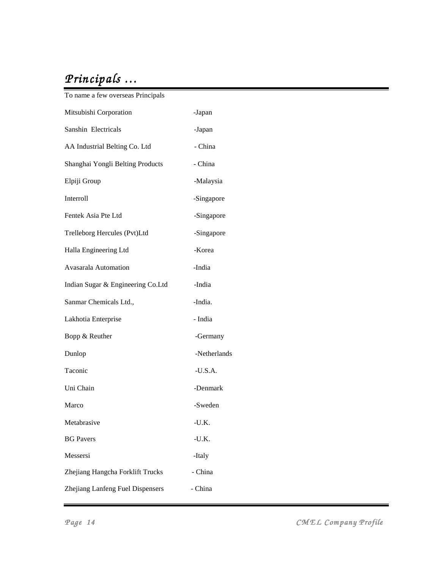# *P rincipals … …*

| -Japan       |
|--------------|
| -Japan       |
| - China      |
| - China      |
| -Malaysia    |
| -Singapore   |
| -Singapore   |
| -Singapore   |
| -Korea       |
| -India       |
| -India       |
| -India.      |
| - India      |
| -Germany     |
| -Netherlands |
| $-U.S.A.$    |
| -Denmark     |
| -Sweden      |
| $-U.K.$      |
| $-U.K.$      |
| -Italy       |
| - China      |
| - China      |
|              |